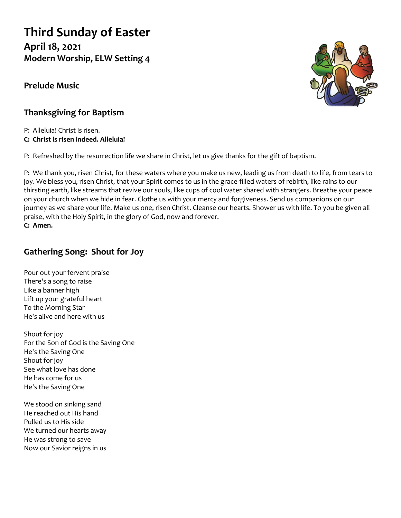## **Third Sunday of Easter**

**April 18, 2021 Modern Worship, ELW Setting 4**

**Prelude Music**

### **Thanksgiving for Baptism**

P: Alleluia! Christ is risen.

**C: Christ is risen indeed. Alleluia!**

P: Refreshed by the resurrection life we share in Christ, let us give thanks for the gift of baptism.

P: We thank you, risen Christ, for these waters where you make us new, leading us from death to life, from tears to joy. We bless you, risen Christ, that your Spirit comes to us in the grace-filled waters of rebirth, like rains to our thirsting earth, like streams that revive our souls, like cups of cool water shared with strangers. Breathe your peace on your church when we hide in fear. Clothe us with your mercy and forgiveness. Send us companions on our journey as we share your life. Make us one, risen Christ. Cleanse our hearts. Shower us with life. To you be given all praise, with the Holy Spirit, in the glory of God, now and forever. **C: Amen.**

## **Gathering Song: Shout for Joy**

Pour out your fervent praise There's a song to raise Like a banner high Lift up your grateful heart To the Morning Star He's alive and here with us

Shout for joy For the Son of God is the Saving One He's the Saving One Shout for joy See what love has done He has come for us He's the Saving One

We stood on sinking sand He reached out His hand Pulled us to His side We turned our hearts away He was strong to save Now our Savior reigns in us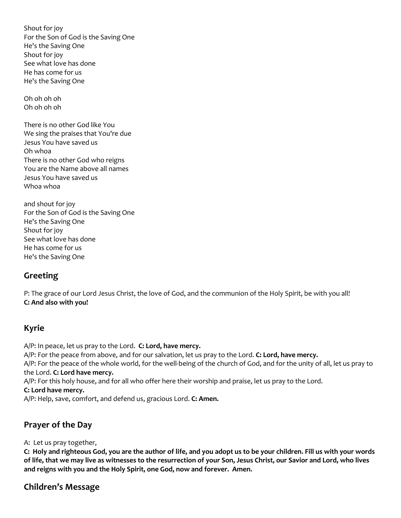Shout for joy For the Son of God is the Saving One He's the Saving One Shout for joy See what love has done He has come for us He's the Saving One

Oh oh oh oh Oh oh oh oh

There is no other God like You We sing the praises that You're due Jesus You have saved us Oh whoa There is no other God who reigns You are the Name above all names Jesus You have saved us Whoa whoa

and shout for joy For the Son of God is the Saving One He's the Saving One Shout for joy See what love has done He has come for us He's the Saving One

#### **Greeting**

P: The grace of our Lord Jesus Christ, the love of God, and the communion of the Holy Spirit, be with you all! **C: And also with you!**

#### **Kyrie**

A/P: In peace, let us pray to the Lord. **C: Lord, have mercy.** A/P: For the peace from above, and for our salvation, let us pray to the Lord. **C: Lord, have mercy.** A/P: For the peace of the whole world, for the well-being of the church of God, and for the unity of all, let us pray to the Lord. **C: Lord have mercy.** A/P: For this holy house, and for all who offer here their worship and praise, let us pray to the Lord. **C: Lord have mercy.** A/P: Help, save, comfort, and defend us, gracious Lord. **C: Amen.**

#### **Prayer of the Day**

A: Let us pray together,

**C: Holy and righteous God, you are the author of life, and you adopt us to be your children. Fill us with your words of life, that we may live as witnesses to the resurrection of your Son, Jesus Christ, our Savior and Lord, who lives and reigns with you and the Holy Spirit, one God, now and forever. Amen.**

#### **Children's Message**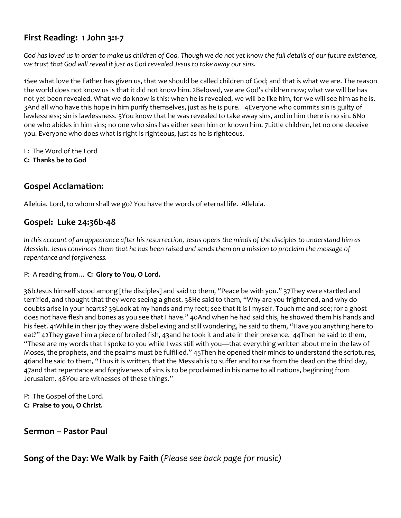### **First Reading: 1 John 3:1-7**

God has loved us in order to make us children of God. Though we do not yet know the full details of our future existence, *we trust that God will reveal it just as God revealed Jesus to take away our sins.*

1See what love the Father has given us, that we should be called children of God; and that is what we are. The reason the world does not know us is that it did not know him. 2Beloved, we are God's children now; what we will be has not yet been revealed. What we do know is this: when he is revealed, we will be like him, for we will see him as he is. 3And all who have this hope in him purify themselves, just as he is pure. 4Everyone who commits sin is guilty of lawlessness; sin is lawlessness. 5You know that he was revealed to take away sins, and in him there is no sin. 6No one who abides in him sins; no one who sins has either seen him or known him. 7Little children, let no one deceive you. Everyone who does what is right is righteous, just as he is righteous.

- L: The Word of the Lord
- **C: Thanks be to God**

#### **Gospel Acclamation:**

Alleluia. Lord, to whom shall we go? You have the words of eternal life. Alleluia.

#### **Gospel: Luke 24:36b-48**

*In this account of an appearance after his resurrection, Jesus opens the minds of the disciples to understand him as Messiah. Jesus convinces them that he has been raised and sends them on a mission to proclaim the message of repentance and forgiveness.*

P: A reading from… **C: Glory to You, O Lord.**

36bJesus himself stood among [the disciples] and said to them, "Peace be with you." 37They were startled and terrified, and thought that they were seeing a ghost. 38He said to them, "Why are you frightened, and why do doubts arise in your hearts? 39Look at my hands and my feet; see that it is I myself. Touch me and see; for a ghost does not have flesh and bones as you see that I have." 40And when he had said this, he showed them his hands and his feet. 41While in their joy they were disbelieving and still wondering, he said to them, "Have you anything here to eat?" 42They gave him a piece of broiled fish, 43and he took it and ate in their presence. 44Then he said to them, "These are my words that I spoke to you while I was still with you—that everything written about me in the law of Moses, the prophets, and the psalms must be fulfilled." 45Then he opened their minds to understand the scriptures, 46and he said to them, "Thus it is written, that the Messiah is to suffer and to rise from the dead on the third day, 47and that repentance and forgiveness of sins is to be proclaimed in his name to all nations, beginning from Jerusalem. 48You are witnesses of these things."

P: The Gospel of the Lord.

**C: Praise to you, O Christ.**

**Sermon – Pastor Paul**

**Song of the Day: We Walk by Faith** (*Please see back page for music)*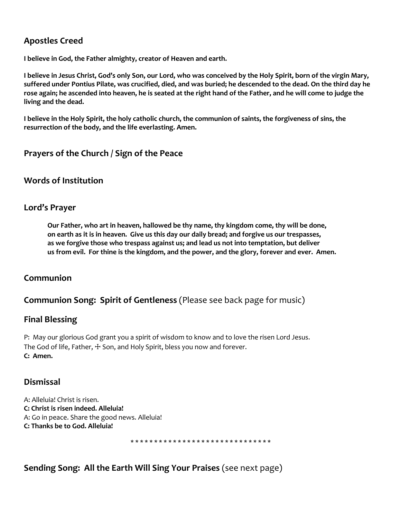#### **Apostles Creed**

**I believe in God, the Father almighty, creator of Heaven and earth.** 

**I believe in Jesus Christ, God's only Son, our Lord, who was conceived by the Holy Spirit, born of the virgin Mary, suffered under Pontius Pilate, was crucified, died, and was buried; he descended to the dead. On the third day he rose again; he ascended into heaven, he is seated at the right hand of the Father, and he will come to judge the living and the dead.**

**I believe in the Holy Spirit, the holy catholic church, the communion of saints, the forgiveness of sins, the resurrection of the body, and the life everlasting. Amen.**

#### **Prayers of the Church / Sign of the Peace**

#### **Words of Institution**

#### **Lord's Prayer**

**Our Father, who art in heaven, hallowed be thy name, thy kingdom come, thy will be done, on earth as it is in heaven. Give us this day our daily bread; and forgive us our trespasses, as we forgive those who trespass against us; and lead us not into temptation, but deliver us from evil. For thine is the kingdom, and the power, and the glory, forever and ever. Amen.**

#### **Communion**

#### **Communion Song: Spirit of Gentleness** (Please see back page for music)

#### **Final Blessing**

P: May our glorious God grant you a spirit of wisdom to know and to love the risen Lord Jesus. The God of life, Father,  $\pm$  Son, and Holy Spirit, bless you now and forever. **C: Amen.**

#### **Dismissal**

A: Alleluia! Christ is risen. **C: Christ is risen indeed. Alleluia!** A: Go in peace. Share the good news. Alleluia! **C: Thanks be to God. Alleluia!**

\* \* \* \* \* \* \* \* \* \* \* \* \* \* \* \* \* \* \* \* \* \* \* \* \* \* \* \* \* \*

**Sending Song: All the Earth Will Sing Your Praises** (see next page)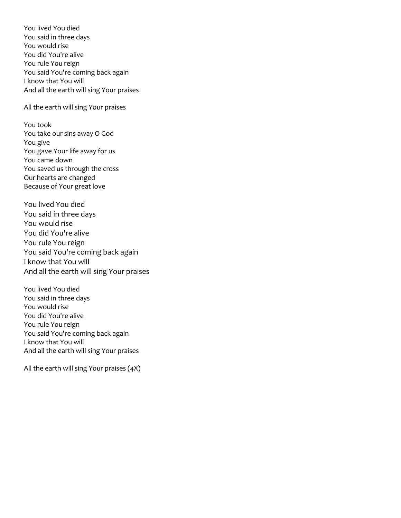You lived You died You said in three days You would rise You did You're alive You rule You reign You said You're coming back again I know that You will And all the earth will sing Your praises

All the earth will sing Your praises

You took You take our sins away O God You give You gave Your life away for us You came down You saved us through the cross Our hearts are changed Because of Your great love

You lived You died You said in three days You would rise You did You're alive You rule You reign You said You're coming back again I know that You will And all the earth will sing Your praises

You lived You died You said in three days You would rise You did You're alive You rule You reign You said You're coming back again I know that You will And all the earth will sing Your praises

All the earth will sing Your praises (4X)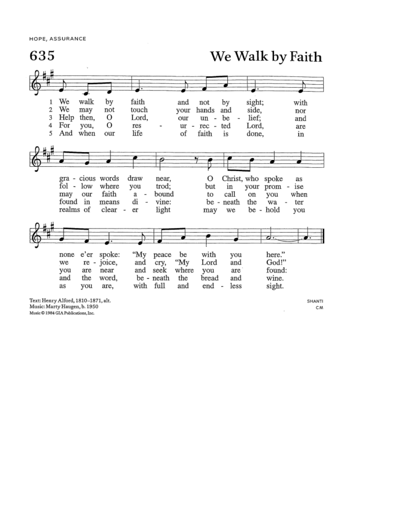HOPE, ASSURANCE

We

We

For

 $\mathbf{1}$ 

 $\boldsymbol{2}$ 

3

4

5

635

#### We Walk by Faith walk faith by and by sight; with not may touch not your hands and side, nor Help then, O Lord, our un - be  $\overline{\phantom{a}}$ lief; and you, O res ur - rec - ted Lord, are And when life our of faith is done, in

7 gra - cious words<br>fol - low where draw O Christ, who spoke near, as you trod; but in your prom - ise may our faith bound  $a$ call when to on you di found in vine: wa means  $\overline{\phantom{a}}$ be - neath the ter  $\overline{a}$ realms of clear light er be - hold may we you d. "My with here." none e'er spoke: peace be you "My God!" we re - joice, and cry, Lord and and seek where found: are near you are you and the word, be - neath the bread and wine. with full end and less sight. as you are,

Text: Henry Alford, 1810-1871, alt. Music: Marty Haugen, b. 1950 Music © 1984 GIA Publications, Inc.

SHANTI CM

ï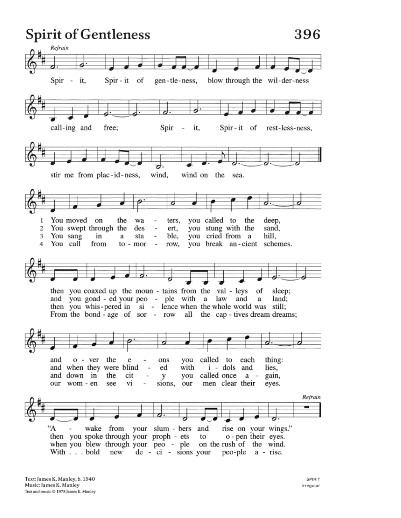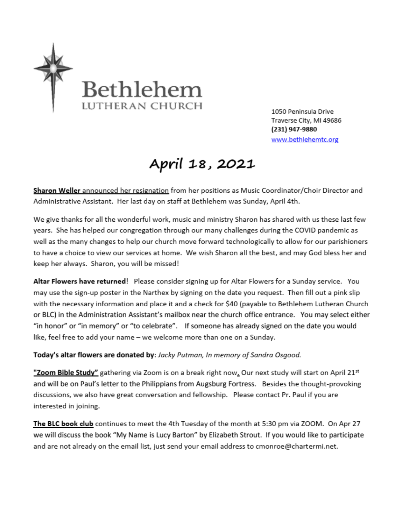

1050 Peninsula Drive Traverse City, MI 49686 (231) 947-9880 www.bethlehemtc.org

# April 18, 2021

Sharon Weller announced her resignation from her positions as Music Coordinator/Choir Director and Administrative Assistant. Her last day on staff at Bethlehem was Sunday, April 4th.

We give thanks for all the wonderful work, music and ministry Sharon has shared with us these last few years. She has helped our congregation through our many challenges during the COVID pandemic as well as the many changes to help our church move forward technologically to allow for our parishioners to have a choice to view our services at home. We wish Sharon all the best, and may God bless her and keep her always. Sharon, you will be missed!

Altar Flowers have returned! Please consider signing up for Altar Flowers for a Sunday service. You may use the sign-up poster in the Narthex by signing on the date you request. Then fill out a pink slip with the necessary information and place it and a check for \$40 (payable to Bethlehem Lutheran Church or BLC) in the Administration Assistant's mailbox near the church office entrance. You may select either "in honor" or "in memory" or "to celebrate". If someone has already signed on the date you would like, feel free to add your name - we welcome more than one on a Sunday.

#### Today's altar flowers are donated by: Jacky Putman, In memory of Sandra Osgood.

<mark>"Zoom Bible Study"</mark> gathering via Zoom is on a break right now<u>.</u> Our next study will start on April 21st and will be on Paul's letter to the Philippians from Augsburg Fortress. Besides the thought-provoking discussions, we also have great conversation and fellowship. Please contact Pr. Paul if you are interested in joining.

The BLC book club continues to meet the 4th Tuesday of the month at 5:30 pm via ZOOM. On Apr 27 we will discuss the book "My Name is Lucy Barton" by Elizabeth Strout. If you would like to participate and are not already on the email list, just send your email address to cmonroe@chartermi.net.